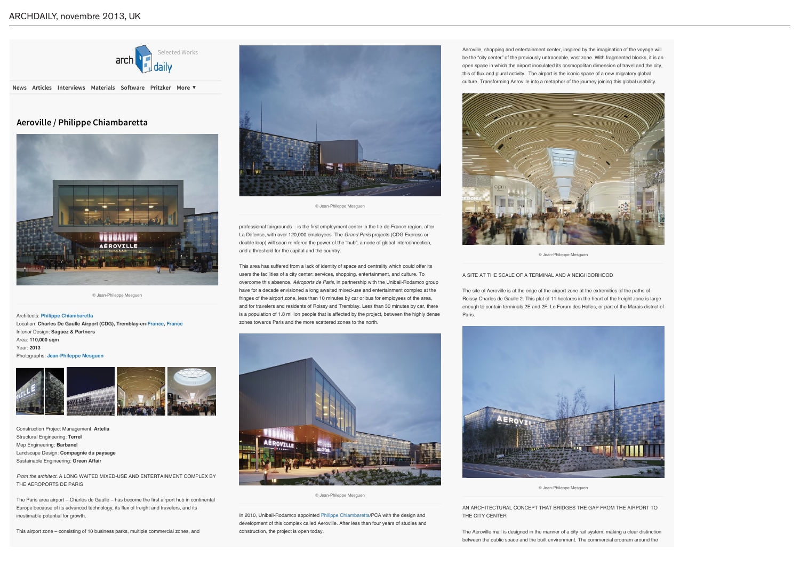About Contact Submit Ads SUBSCRIBE TO OUR

DAILY NEWSLETTER E-MAIL ADDRESS



# **Aeroville / Philippe Chiambaretta**





© Jean-Phileppe Mesguen

Architects: **Philippe Chiambaretta** Location: **Charles De Gaulle Airport (CDG), Tremblay-en-France, France** Interior Design: **Saguez & Partners** Area: **110,000 sqm** Year: **2013** Photographs: **Jean-Phileppe Mesguen**



Construction Project Management: **Artelia** Structural Engineering: **Terrel** Mep Engineering: **Barbanel** Landscape Design: **Compagnie du paysage** Sustainable Engineering: **Green Affair**

*From the architect.* A LONG WAITED MIXED-USE AND ENTERTAINMENT COMPLEX BY THE AEROPORTS DE PARIS

Aeroville, shopping and entertainment center, inspired by the imagination of the voyage will be the "city center" of the previously untraceable, vast zone. With fragmented blocks, it is an open space in which the airport inoculated its cosmopolitan dimension of travel and the city, this of flux and plural activity. The airport is the iconic space of a new migratory global culture. Transforming Aeroville into a metaphor of the journey joining this global usability.

The Paris area airport – Charles de Gaulle – has become the first airport hub in continental Europe because of its advanced technology, its flux of freight and travelers, and its inestimable potential for growth.

This airport zone – consisting of 10 business parks, multiple commercial zones, and

380976 COMMENTS **Home Selected Works News Articles Interviews Materials Software Pritzker More ▼** SEARCH ARCHDAILY



professional fairgrounds - is the first employment center in the Ile-de-France region, after La Défense, with over 120,000 employees. The *Grand Paris* projects (CDG Express or double loop) will soon reinforce the power of the "hub", a node of global interconnection, and a threshold for the capital and the country.

This area has suffered from a lack of identity of space and centrality which could offer its users the facilities of a city center: services, shopping, entertainment, and culture. To overcome this absence, *Aéroports de Paris,* in partnership with the Unibail-Rodamco group have for a decade envisioned a long awaited mixed-use and entertainment complex at the fringes of the airport zone, less than 10 minutes by car or bus for employees of the area, and for travelers and residents of Roissy and Tremblay. Less than 30 minutes by car, there is a population of 1.8 million people that is affected by the project, between the highly dense zones towards Paris and the more scattered zones to the north.

In 2010, Unibail-Rodamco appointed Philippe Chiambaretta/PCA with the design and development of this complex called Aeroville. After less than four years of studies and construction, the project is open today.

The site of Aeroville is at the edge of the airport zone at the extremities of the paths of Roissy-Charles de Gaulle 2. This plot of 11 hectares in the heart of the freight zone is large enough to contain terminals 2E and 2F, Le Forum des Halles, or part of the Marais district of Paris.



© Jean-Phileppe Mesguen

A SITE AT THE SCALE OF A TERMINAL AND A NEIGHBORHOOD<br>.

AN ARCHITECTURAL CONCEPT THAT BRIDGES THE GAP FROM THE AIRPORT TO THE CITY CENTER



© Jean-Phileppe Mesguen

The Aeroville mall is designed in the manner of a city rail system, making a clear distinction between the public space and the built environment. The commercial program around the

© Jean-Phileppe Mesguen